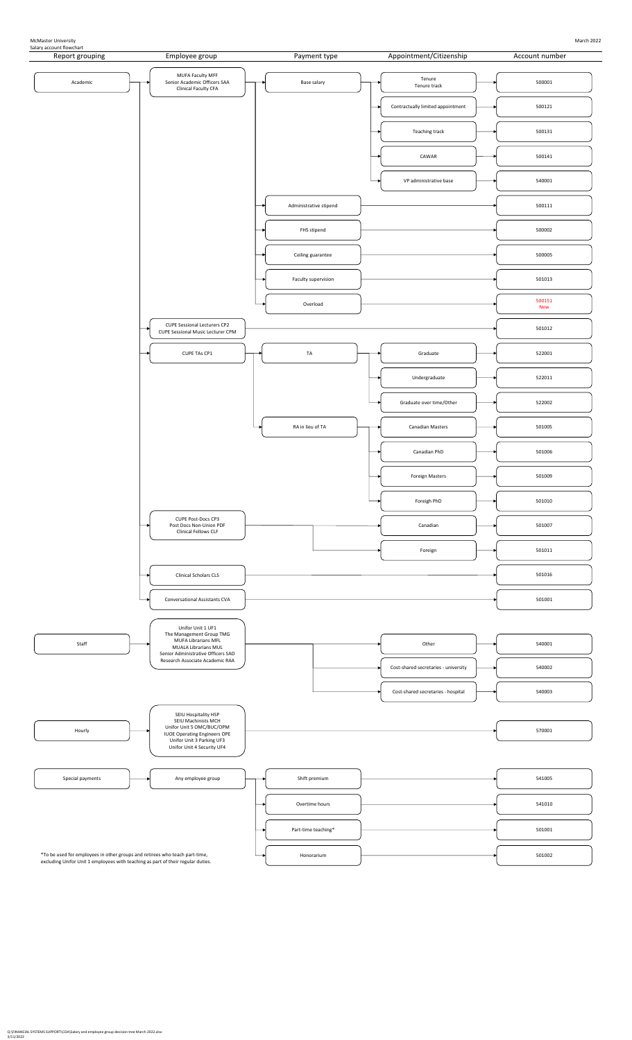

McMaster University March 2022

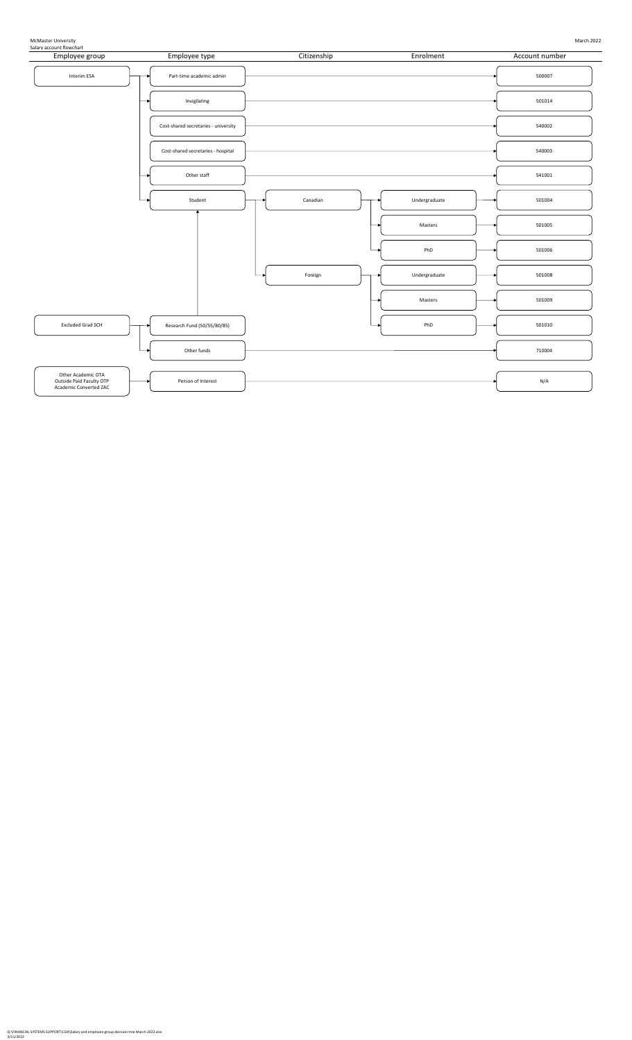